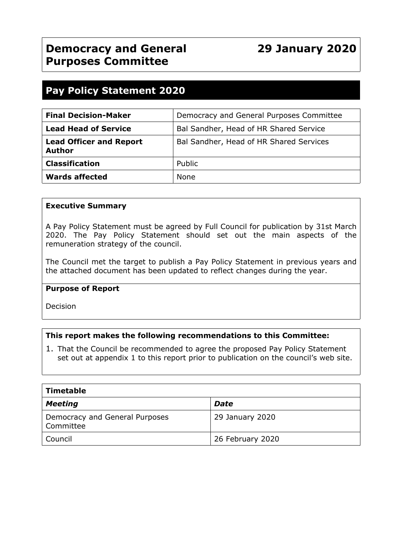# **Pay Policy Statement 2020**

| <b>Final Decision-Maker</b>                     | Democracy and General Purposes Committee |
|-------------------------------------------------|------------------------------------------|
| <b>Lead Head of Service</b>                     | Bal Sandher, Head of HR Shared Service   |
| <b>Lead Officer and Report</b><br><b>Author</b> | Bal Sandher, Head of HR Shared Services  |
| <b>Classification</b>                           | Public                                   |
| <b>Wards affected</b>                           | None                                     |

#### **Executive Summary**

A Pay Policy Statement must be agreed by Full Council for publication by 31st March 2020. The Pay Policy Statement should set out the main aspects of the remuneration strategy of the council.

The Council met the target to publish a Pay Policy Statement in previous years and the attached document has been updated to reflect changes during the year.

#### **Purpose of Report**

Decision

# **This report makes the following recommendations to this Committee:**

1. That the Council be recommended to agree the proposed Pay Policy Statement set out at appendix 1 to this report prior to publication on the council's web site.

| <b>Timetable</b>                            |                  |  |
|---------------------------------------------|------------------|--|
| <b>Meeting</b>                              | Date             |  |
| Democracy and General Purposes<br>Committee | 29 January 2020  |  |
| Council                                     | 26 February 2020 |  |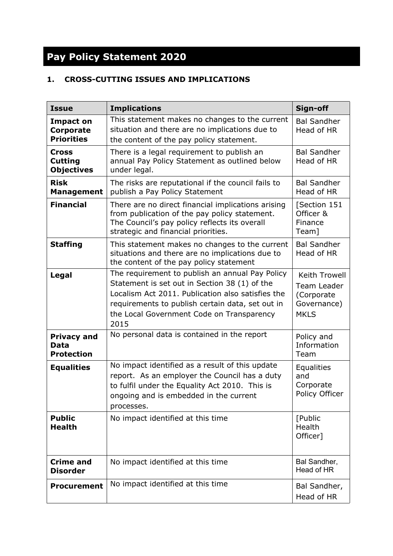# **Pay Policy Statement 2020**

# **1. CROSS-CUTTING ISSUES AND IMPLICATIONS**

| <b>Issue</b>                                              | <b>Implications</b>                                                                                                                                                                                                                                            | Sign-off                                                                 |
|-----------------------------------------------------------|----------------------------------------------------------------------------------------------------------------------------------------------------------------------------------------------------------------------------------------------------------------|--------------------------------------------------------------------------|
| <b>Impact on</b><br><b>Corporate</b><br><b>Priorities</b> | This statement makes no changes to the current<br>situation and there are no implications due to<br>the content of the pay policy statement.                                                                                                                   | <b>Bal Sandher</b><br>Head of HR                                         |
| <b>Cross</b><br><b>Cutting</b><br><b>Objectives</b>       | There is a legal requirement to publish an<br>annual Pay Policy Statement as outlined below<br>under legal.                                                                                                                                                    | <b>Bal Sandher</b><br>Head of HR                                         |
| <b>Risk</b><br><b>Management</b>                          | The risks are reputational if the council fails to<br>publish a Pay Policy Statement                                                                                                                                                                           | <b>Bal Sandher</b><br>Head of HR                                         |
| <b>Financial</b>                                          | There are no direct financial implications arising<br>from publication of the pay policy statement.<br>The Council's pay policy reflects its overall<br>strategic and financial priorities.                                                                    | [Section 151<br>Officer &<br>Finance<br>Team]                            |
| <b>Staffing</b>                                           | This statement makes no changes to the current<br>situations and there are no implications due to<br>the content of the pay policy statement                                                                                                                   | <b>Bal Sandher</b><br>Head of HR                                         |
| Legal                                                     | The requirement to publish an annual Pay Policy<br>Statement is set out in Section 38 (1) of the<br>Localism Act 2011. Publication also satisfies the<br>requirements to publish certain data, set out in<br>the Local Government Code on Transparency<br>2015 | Keith Trowell<br>Team Leader<br>(Corporate<br>Governance)<br><b>MKLS</b> |
| <b>Privacy and</b><br>Data<br><b>Protection</b>           | No personal data is contained in the report                                                                                                                                                                                                                    | Policy and<br>Information<br>Team                                        |
| <b>Equalities</b>                                         | No impact identified as a result of this update<br>report. As an employer the Council has a duty<br>to fulfil under the Equality Act 2010. This is<br>ongoing and is embedded in the current<br>processes.                                                     | Equalities<br>and<br>Corporate<br>Policy Officer                         |
| <b>Public</b><br><b>Health</b>                            | No impact identified at this time                                                                                                                                                                                                                              | [Public<br>Health<br>Officer]                                            |
| <b>Crime and</b><br><b>Disorder</b>                       | No impact identified at this time                                                                                                                                                                                                                              | Bal Sandher,<br>Head of HR                                               |
| <b>Procurement</b>                                        | No impact identified at this time                                                                                                                                                                                                                              | Bal Sandher,<br>Head of HR                                               |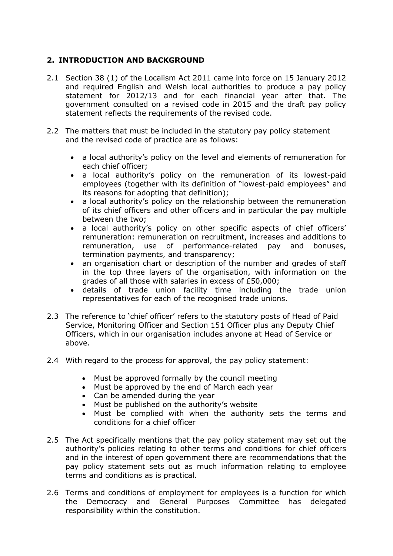# **2. INTRODUCTION AND BACKGROUND**

- 2.1 Section 38 (1) of the Localism Act 2011 came into force on 15 January 2012 and required English and Welsh local authorities to produce a pay policy statement for 2012/13 and for each financial year after that. The government consulted on a revised code in 2015 and the draft pay policy statement reflects the requirements of the revised code.
- 2.2 The matters that must be included in the statutory pay policy statement and the revised code of practice are as follows:
	- a local authority's policy on the level and elements of remuneration for each chief officer;
	- a local authority's policy on the remuneration of its lowest-paid employees (together with its definition of "lowest-paid employees" and its reasons for adopting that definition);
	- a local authority's policy on the relationship between the remuneration of its chief officers and other officers and in particular the pay multiple between the two;
	- a local authority's policy on other specific aspects of chief officers' remuneration: remuneration on recruitment, increases and additions to remuneration, use of performance-related pay and bonuses, termination payments, and transparency;
	- an organisation chart or description of the number and grades of staff in the top three layers of the organisation, with information on the grades of all those with salaries in excess of £50,000;
	- details of trade union facility time including the trade union representatives for each of the recognised trade unions.
- 2.3 The reference to 'chief officer' refers to the statutory posts of Head of Paid Service, Monitoring Officer and Section 151 Officer plus any Deputy Chief Officers, which in our organisation includes anyone at Head of Service or above.
- 2.4 With regard to the process for approval, the pay policy statement:
	- Must be approved formally by the council meeting
	- Must be approved by the end of March each year
	- Can be amended during the year
	- Must be published on the authority's website
	- Must be complied with when the authority sets the terms and conditions for a chief officer
- 2.5 The Act specifically mentions that the pay policy statement may set out the authority's policies relating to other terms and conditions for chief officers and in the interest of open government there are recommendations that the pay policy statement sets out as much information relating to employee terms and conditions as is practical.
- 2.6 Terms and conditions of employment for employees is a function for which the Democracy and General Purposes Committee has delegated responsibility within the constitution.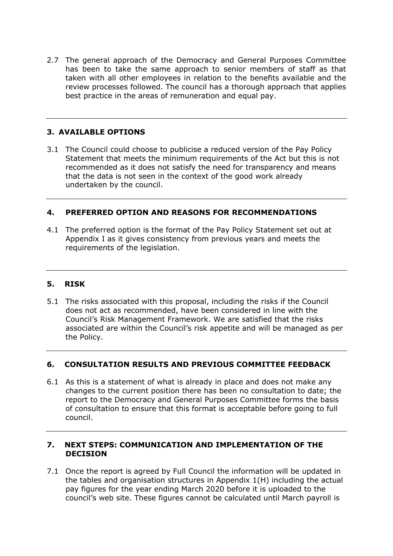2.7 The general approach of the Democracy and General Purposes Committee has been to take the same approach to senior members of staff as that taken with all other employees in relation to the benefits available and the review processes followed. The council has a thorough approach that applies best practice in the areas of remuneration and equal pay.

# **3. AVAILABLE OPTIONS**

3.1 The Council could choose to publicise a reduced version of the Pay Policy Statement that meets the minimum requirements of the Act but this is not recommended as it does not satisfy the need for transparency and means that the data is not seen in the context of the good work already undertaken by the council.

# **4. PREFERRED OPTION AND REASONS FOR RECOMMENDATIONS**

4.1 The preferred option is the format of the Pay Policy Statement set out at Appendix I as it gives consistency from previous years and meets the requirements of the legislation.

# **5. RISK**

5.1 The risks associated with this proposal, including the risks if the Council does not act as recommended, have been considered in line with the Council's Risk Management Framework. We are satisfied that the risks associated are within the Council's risk appetite and will be managed as per the Policy.

# **6. CONSULTATION RESULTS AND PREVIOUS COMMITTEE FEEDBACK**

6.1 As this is a statement of what is already in place and does not make any changes to the current position there has been no consultation to date; the report to the Democracy and General Purposes Committee forms the basis of consultation to ensure that this format is acceptable before going to full council.

#### **7. NEXT STEPS: COMMUNICATION AND IMPLEMENTATION OF THE DECISION**

7.1 Once the report is agreed by Full Council the information will be updated in the tables and organisation structures in Appendix 1(H) including the actual pay figures for the year ending March 2020 before it is uploaded to the council's web site. These figures cannot be calculated until March payroll is